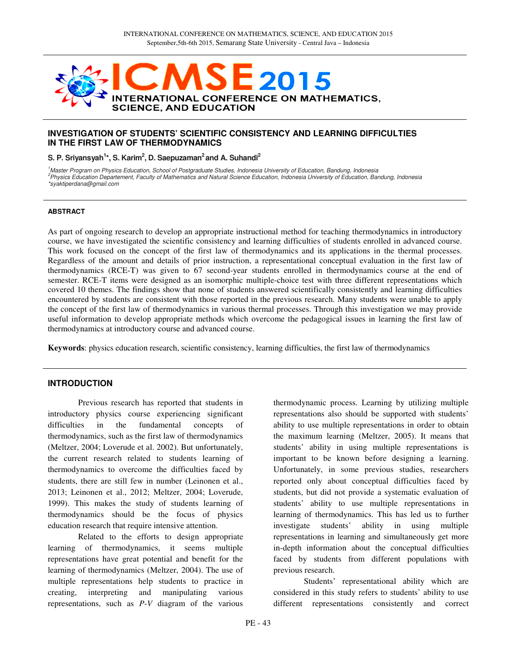

### **INVESTIGATION OF STUDENTS' SCIENTIFIC CONSISTENCY AND LEARNING DIFFICULTIES IN THE FIRST LAW OF THERMODYNAMICS**

### **S. P. Sriyansyah<sup>1</sup> \*, S. Karim<sup>2</sup> , D. Saepuzaman<sup>2</sup>and A. Suhandi<sup>2</sup>**

<sup>1</sup>Master Program on Physics Education, School of Postgraduate Studies, Indonesia University of Education, Bandung, Indonesia <sup>2</sup>Physics Education Departement, Faculty of Mathematics and Natural Science Education, Indonesia University of Education, Bandung, Indonesia \*syaktiperdana@gmail.com

#### **ABSTRACT**

As part of ongoing research to develop an appropriate instructional method for teaching thermodynamics in introductory course, we have investigated the scientific consistency and learning difficulties of students enrolled in advanced course. This work focused on the concept of the first law of thermodynamics and its applications in the thermal processes. Regardless of the amount and details of prior instruction, a representational conceptual evaluation in the first law of thermodynamics (RCE-T) was given to 67 second-year students enrolled in thermodynamics course at the end of semester. RCE-T items were designed as an isomorphic multiple-choice test with three different representations which covered 10 themes. The findings show that none of students answered scientifically consistently and learning difficulties encountered by students are consistent with those reported in the previous research. Many students were unable to apply the concept of the first law of thermodynamics in various thermal processes. Through this investigation we may provide useful information to develop appropriate methods which overcome the pedagogical issues in learning the first law of thermodynamics at introductory course and advanced course.

**Keywords**: physics education research, scientific consistency, learning difficulties, the first law of thermodynamics

### **INTRODUCTION**

Previous research has reported that students in introductory physics course experiencing significant difficulties in the fundamental concepts of thermodynamics, such as the first law of thermodynamics (Meltzer, 2004; Loverude et al. 2002). But unfortunately, the current research related to students learning of thermodynamics to overcome the difficulties faced by students, there are still few in number (Leinonen et al., 2013; Leinonen et al., 2012; Meltzer, 2004; Loverude, 1999). This makes the study of students learning of thermodynamics should be the focus of physics education research that require intensive attention.

Related to the efforts to design appropriate learning of thermodynamics, it seems multiple representations have great potential and benefit for the learning of thermodynamics (Meltzer, 2004). The use of multiple representations help students to practice in creating, interpreting and manipulating various representations, such as *P*-*V* diagram of the various

thermodynamic process. Learning by utilizing multiple representations also should be supported with students' ability to use multiple representations in order to obtain the maximum learning (Meltzer, 2005). It means that students' ability in using multiple representations is important to be known before designing a learning. Unfortunately, in some previous studies, researchers reported only about conceptual difficulties faced by students, but did not provide a systematic evaluation of students' ability to use multiple representations in learning of thermodynamics. This has led us to further investigate students' ability in using multiple representations in learning and simultaneously get more in-depth information about the conceptual difficulties faced by students from different populations with previous research.

Students' representational ability which are considered in this study refers to students' ability to use different representations consistently and correct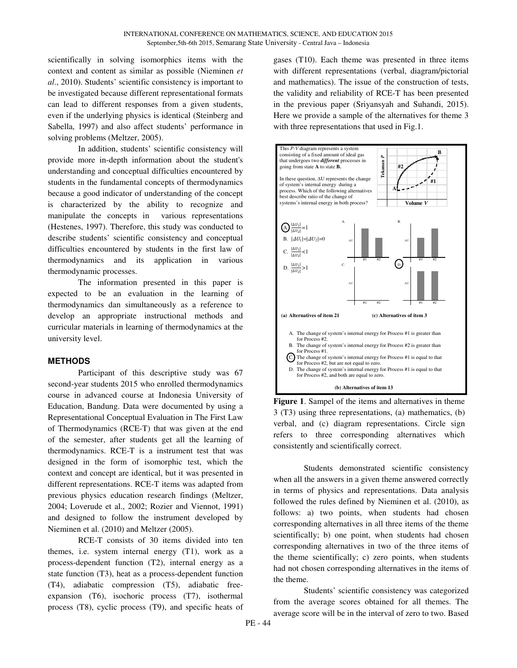scientifically in solving isomorphics items with the context and content as similar as possible (Nieminen *et al*., 2010). Students' scientific consistency is important to be investigated because different representational formats can lead to different responses from a given students, even if the underlying physics is identical (Steinberg and Sabella, 1997) and also affect students' performance in solving problems (Meltzer, 2005).

In addition, students' scientific consistency will provide more in-depth information about the student's understanding and conceptual difficulties encountered by students in the fundamental concepts of thermodynamics because a good indicator of understanding of the concept is characterized by the ability to recognize and manipulate the concepts in various representations (Hestenes, 1997). Therefore, this study was conducted to describe students' scientific consistency and conceptual difficulties encountered by students in the first law of thermodynamics and its application in various thermodynamic processes.

The information presented in this paper is expected to be an evaluation in the learning of thermodynamics dan simultaneously as a reference to develop an appropriate instructional methods and curricular materials in learning of thermodynamics at the university level.

# **METHODS**

Participant of this descriptive study was 67 second-year students 2015 who enrolled thermodynamics course in advanced course at Indonesia University of Education, Bandung. Data were documented by using a Representational Conceptual Evaluation in The First Law of Thermodynamics (RCE-T) that was given at the end of the semester, after students get all the learning of thermodynamics. RCE-T is a instrument test that was designed in the form of isomorphic test, which the context and concept are identical, but it was presented in different representations. RCE-T items was adapted from previous physics education research findings (Meltzer, 2004; Loverude et al., 2002; Rozier and Viennot, 1991) and designed to follow the instrument developed by Nieminen et al. (2010) and Meltzer (2005).

RCE-T consists of 30 items divided into ten themes, i.e. system internal energy (T1), work as a process-dependent function (T2), internal energy as a state function (T3), heat as a process-dependent function (T4), adiabatic compression (T5), adiabatic freeexpansion (T6), isochoric process (T7), isothermal process (T8), cyclic process (T9), and specific heats of gases (T10). Each theme was presented in three items with different representations (verbal, diagram/pictorial and mathematics). The issue of the construction of tests, the validity and reliability of RCE-T has been presented in the previous paper (Sriyansyah and Suhandi, 2015). Here we provide a sample of the alternatives for theme 3 with three representations that used in Fig.1.



**Figure 1**. Sampel of the items and alternatives in theme 3 (T3) using three representations, (a) mathematics, (b) verbal, and (c) diagram representations. Circle sign refers to three corresponding alternatives which consistently and scientifically correct.

Students demonstrated scientific consistency when all the answers in a given theme answered correctly in terms of physics and representations. Data analysis followed the rules defined by Nieminen et al. (2010), as follows: a) two points, when students had chosen corresponding alternatives in all three items of the theme scientifically; b) one point, when students had chosen corresponding alternatives in two of the three items of the theme scientifically; c) zero points, when students had not chosen corresponding alternatives in the items of the theme.

Students' scientific consistency was categorized from the average scores obtained for all themes. The average score will be in the interval of zero to two. Based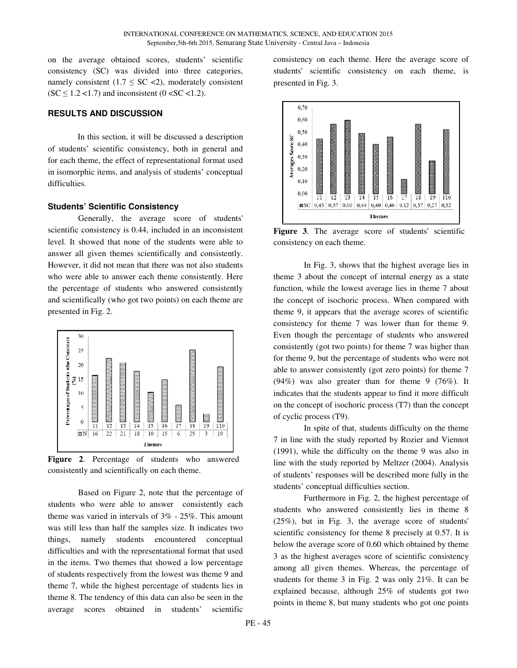on the average obtained scores, students' scientific consistency (SC) was divided into three categories, namely consistent (1.7  $\leq$  SC  $\lt$ 2), moderately consistent  $(SC \leq 1.2 \leq 1.7)$  and inconsistent  $(0 \leq SC \leq 1.2)$ .

### **RESULTS AND DISCUSSION**

In this section, it will be discussed a description of students' scientific consistency, both in general and for each theme, the effect of representational format used in isomorphic items, and analysis of students' conceptual difficulties.

#### **Students' Scientific Consistency**

Generally, the average score of students' scientific consistency is 0.44, included in an inconsistent level. It showed that none of the students were able to answer all given themes scientifically and consistently. However, it did not mean that there was not also students who were able to answer each theme consistently. Here the percentage of students who answered consistently and scientifically (who got two points) on each theme are presented in Fig. 2.



**Figure 2**. Percentage of students who answered consistently and scientifically on each theme.

Based on Figure 2, note that the percentage of students who were able to answer consistently each theme was varied in intervals of 3% - 25%. This amount was still less than half the samples size. It indicates two things, namely students encountered conceptual difficulties and with the representational format that used in the items. Two themes that showed a low percentage of students respectively from the lowest was theme 9 and theme 7, while the highest percentage of students lies in theme 8. The tendency of this data can also be seen in the average scores obtained in students' scientific

consistency on each theme. Here the average score of students' scientific consistency on each theme, is presented in Fig. 3.



**Figure 3**. The average score of students' scientific consistency on each theme.

In Fig. 3, shows that the highest average lies in theme 3 about the concept of internal energy as a state function, while the lowest average lies in theme 7 about the concept of isochoric process. When compared with theme 9, it appears that the average scores of scientific consistency for theme 7 was lower than for theme 9. Even though the percentage of students who answered consistently (got two points) for theme 7 was higher than for theme 9, but the percentage of students who were not able to answer consistently (got zero points) for theme 7 (94%) was also greater than for theme 9 (76%). It indicates that the students appear to find it more difficult on the concept of isochoric process (T7) than the concept of cyclic process (T9).

In spite of that, students difficulty on the theme 7 in line with the study reported by Rozier and Viennot (1991), while the difficulty on the theme 9 was also in line with the study reported by Meltzer (2004). Analysis of students' responses will be described more fully in the students' conceptual difficulties section.

Furthermore in Fig. 2, the highest percentage of students who answered consistently lies in theme 8 (25%), but in Fig. 3, the average score of students' scientific consistency for theme 8 precisely at 0.57. It is below the average score of 0.60 which obtained by theme 3 as the highest averages score of scientific consistency among all given themes. Whereas, the percentage of students for theme 3 in Fig. 2 was only 21%. It can be explained because, although 25% of students got two points in theme 8, but many students who got one points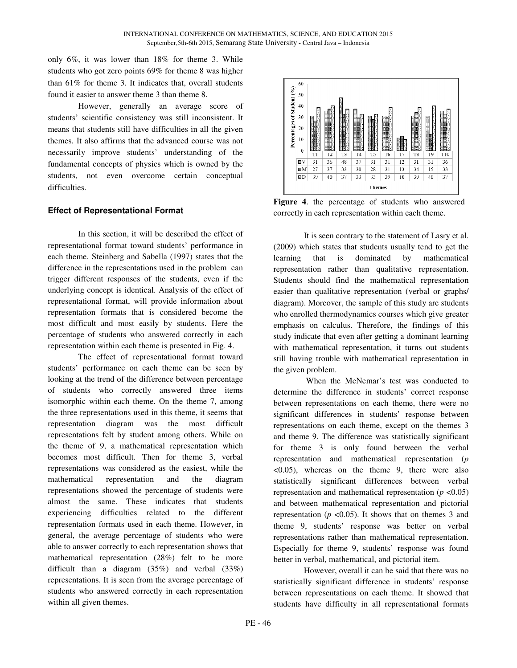only 6%, it was lower than 18% for theme 3. While students who got zero points 69% for theme 8 was higher than 61% for theme 3. It indicates that, overall students found it easier to answer theme 3 than theme 8.

However, generally an average score of students' scientific consistency was still inconsistent. It means that students still have difficulties in all the given themes. It also affirms that the advanced course was not necessarily improve students' understanding of the fundamental concepts of physics which is owned by the students, not even overcome certain conceptual difficulties.

# **Effect of Representational Format**

In this section, it will be described the effect of representational format toward students' performance in each theme. Steinberg and Sabella (1997) states that the difference in the representations used in the problem can trigger different responses of the students, even if the underlying concept is identical. Analysis of the effect of representational format, will provide information about representation formats that is considered become the most difficult and most easily by students. Here the percentage of students who answered correctly in each representation within each theme is presented in Fig. 4.

The effect of representational format toward students' performance on each theme can be seen by looking at the trend of the difference between percentage of students who correctly answered three items isomorphic within each theme. On the theme 7, among the three representations used in this theme, it seems that representation diagram was the most difficult representations felt by student among others. While on the theme of 9, a mathematical representation which becomes most difficult. Then for theme 3, verbal representations was considered as the easiest, while the mathematical representation and the diagram representations showed the percentage of students were almost the same. These indicates that students experiencing difficulties related to the different representation formats used in each theme. However, in general, the average percentage of students who were able to answer correctly to each representation shows that mathematical representation (28%) felt to be more difficult than a diagram (35%) and verbal (33%) representations. It is seen from the average percentage of students who answered correctly in each representation within all given themes.



**Figure 4**. the percentage of students who answered correctly in each representation within each theme.

It is seen contrary to the statement of Lasry et al. (2009) which states that students usually tend to get the learning that is dominated by mathematical representation rather than qualitative representation. Students should find the mathematical representation easier than qualitative representation (verbal or graphs/ diagram). Moreover, the sample of this study are students who enrolled thermodynamics courses which give greater emphasis on calculus. Therefore, the findings of this study indicate that even after getting a dominant learning with mathematical representation, it turns out students still having trouble with mathematical representation in the given problem.

 When the McNemar's test was conducted to determine the difference in students' correct response between representations on each theme, there were no significant differences in students' response between representations on each theme, except on the themes 3 and theme 9. The difference was statistically significant for theme 3 is only found between the verbal representation and mathematical representation (*p* <0.05), whereas on the theme 9, there were also statistically significant differences between verbal representation and mathematical representation  $(p \le 0.05)$ and between mathematical representation and pictorial representation ( $p \le 0.05$ ). It shows that on themes 3 and theme 9, students' response was better on verbal representations rather than mathematical representation. Especially for theme 9, students' response was found better in verbal, mathematical, and pictorial item.

However, overall it can be said that there was no statistically significant difference in students' response between representations on each theme. It showed that students have difficulty in all representational formats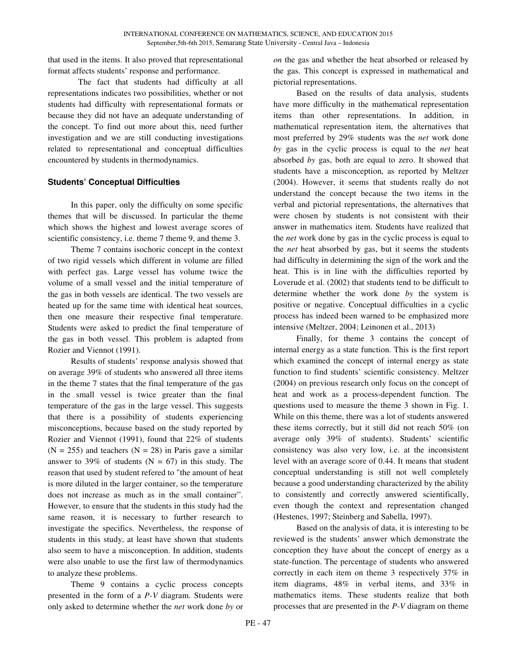that used in the items. It also proved that representational format affects students' response and performance.

The fact that students had difficulty at all representations indicates two possibilities, whether or not students had difficulty with representational formats or because they did not have an adequate understanding of the concept. To find out more about this, need further investigation and we are still conducting investigations related to representational and conceptual difficulties encountered by students in thermodynamics.

### **Students' Conceptual Difficulties**

In this paper, only the difficulty on some specific themes that will be discussed. In particular the theme which shows the highest and lowest average scores of scientific consistency, i.e. theme 7 theme 9, and theme 3.

Theme 7 contains isochoric concept in the context of two rigid vessels which different in volume are filled with perfect gas. Large vessel has volume twice the volume of a small vessel and the initial temperature of the gas in both vessels are identical. The two vessels are heated up for the same time with identical heat sources, then one measure their respective final temperature. Students were asked to predict the final temperature of the gas in both vessel. This problem is adapted from Rozier and Viennot (1991).

Results of students' response analysis showed that on average 39% of students who answered all three items in the theme 7 states that the final temperature of the gas in the small vessel is twice greater than the final temperature of the gas in the large vessel. This suggests that there is a possibility of students experiencing misconceptions, because based on the study reported by Rozier and Viennot (1991), found that 22% of students  $(N = 255)$  and teachers  $(N = 28)$  in Paris gave a similar answer to 39% of students ( $N = 67$ ) in this study. The reason that used by student refered to "the amount of heat is more diluted in the larger container, so the temperature does not increase as much as in the small container". However, to ensure that the students in this study had the same reason, it is necessary to further research to investigate the specifics. Nevertheless, the response of students in this study, at least have shown that students also seem to have a misconception. In addition, students were also unable to use the first law of thermodynamics to analyze these problems.

Theme 9 contains a cyclic process concepts presented in the form of a *P-V* diagram. Students were only asked to determine whether the *net* work done *by* or *on* the gas and whether the heat absorbed or released by the gas. This concept is expressed in mathematical and pictorial representations.

Based on the results of data analysis, students have more difficulty in the mathematical representation items than other representations. In addition, in mathematical representation item, the alternatives that most preferred by 29% students was the *net* work done *by* gas in the cyclic process is equal to the *net* heat absorbed *by* gas, both are equal to zero. It showed that students have a misconception, as reported by Meltzer (2004). However, it seems that students really do not understand the concept because the two items in the verbal and pictorial representations, the alternatives that were chosen by students is not consistent with their answer in mathematics item. Students have realized that the *net* work done by gas in the cyclic process is equal to the *net* heat absorbed by gas, but it seems the students had difficulty in determining the sign of the work and the heat. This is in line with the difficulties reported by Loverude et al. (2002) that students tend to be difficult to determine whether the work done *by* the system is positive or negative. Conceptual difficulties in a cyclic process has indeed been warned to be emphasized more intensive (Meltzer, 2004; Leinonen et al., 2013)

Finally, for theme 3 contains the concept of internal energy as a state function. This is the first report which examined the concept of internal energy as state function to find students' scientific consistency. Meltzer (2004) on previous research only focus on the concept of heat and work as a process-dependent function. The questions used to measure the theme 3 shown in Fig. 1. While on this theme, there was a lot of students answered these items correctly, but it still did not reach 50% (on average only 39% of students). Students' scientific consistency was also very low, i.e. at the inconsistent level with an average score of 0.44. It means that student conceptual understanding is still not well completely because a good understanding characterized by the ability to consistently and correctly answered scientifically, even though the context and representation changed (Hestenes, 1997; Steinberg and Sabella, 1997).

Based on the analysis of data, it is interesting to be reviewed is the students' answer which demonstrate the conception they have about the concept of energy as a state-function. The percentage of students who answered correctly in each item on theme 3 respectively 37% in item diagrams, 48% in verbal items, and 33% in mathematics items. These students realize that both processes that are presented in the *P-V* diagram on theme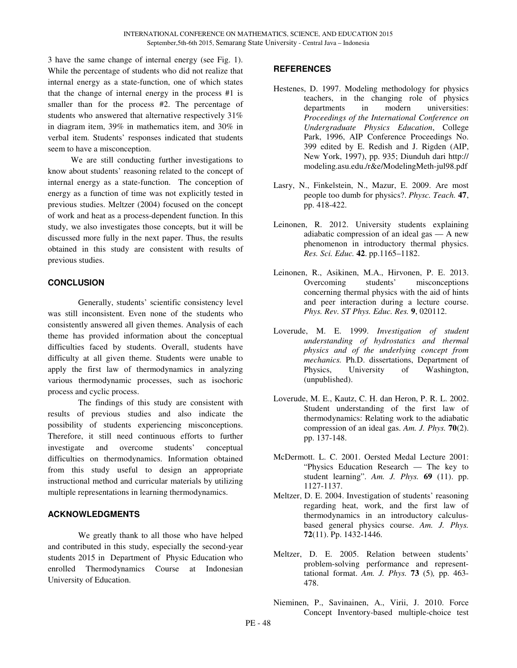3 have the same change of internal energy (see Fig. 1). While the percentage of students who did not realize that internal energy as a state-function, one of which states that the change of internal energy in the process #1 is smaller than for the process #2. The percentage of students who answered that alternative respectively 31% in diagram item, 39% in mathematics item, and 30% in verbal item. Students' responses indicated that students seem to have a misconception.

We are still conducting further investigations to know about students' reasoning related to the concept of internal energy as a state-function. The conception of energy as a function of time was not explicitly tested in previous studies. Meltzer (2004) focused on the concept of work and heat as a process-dependent function. In this study, we also investigates those concepts, but it will be discussed more fully in the next paper. Thus, the results obtained in this study are consistent with results of previous studies.

# **CONCLUSION**

Generally, students' scientific consistency level was still inconsistent. Even none of the students who consistently answered all given themes. Analysis of each theme has provided information about the conceptual difficulties faced by students. Overall, students have difficulty at all given theme. Students were unable to apply the first law of thermodynamics in analyzing various thermodynamic processes, such as isochoric process and cyclic process.

The findings of this study are consistent with results of previous studies and also indicate the possibility of students experiencing misconceptions. Therefore, it still need continuous efforts to further investigate and overcome students' conceptual difficulties on thermodynamics. Information obtained from this study useful to design an appropriate instructional method and curricular materials by utilizing multiple representations in learning thermodynamics.

# **ACKNOWLEDGMENTS**

We greatly thank to all those who have helped and contributed in this study, especially the second-year students 2015 in Department of Physic Education who enrolled Thermodynamics Course at Indonesian University of Education.

# **REFERENCES**

- Hestenes, D. 1997. Modeling methodology for physics teachers, in the changing role of physics departments in modern universities: *Proceedings of the International Conference on Undergraduate Physics Education*, College Park, 1996, AIP Conference Proceedings No. 399 edited by E. Redish and J. Rigden (AIP, New York, 1997), pp. 935; Diunduh dari http:// modeling.asu.edu./r&e/ModelingMeth-jul98.pdf
- Lasry, N., Finkelstein, N., Mazur, E. 2009. Are most people too dumb for physics?. *Physc. Teach.* **47**, pp. 418-422.
- Leinonen, R. 2012. University students explaining adiabatic compression of an ideal gas — A new phenomenon in introductory thermal physics. *Res. Sci. Educ.* **42**. pp.1165–1182.
- Leinonen, R., Asikinen, M.A., Hirvonen, P. E. 2013. Overcoming students' misconceptions concerning thermal physics with the aid of hints and peer interaction during a lecture course. *Phys. Rev. ST Phys. Educ. Res.* **9**, 020112.
- Loverude, M. E. 1999. *Investigation of student understanding of hydrostatics and thermal physics and of the underlying concept from mechanics.* Ph.D. dissertations, Department of Physics, University of Washington, (unpublished).
- Loverude, M. E., Kautz, C. H. dan Heron, P. R. L. 2002. Student understanding of the first law of thermodynamics: Relating work to the adiabatic compression of an ideal gas. *Am. J. Phys.* **70**(2). pp. 137-148.
- McDermott. L. C. 2001. Oersted Medal Lecture 2001: "Physics Education Research — The key to student learning". *Am. J. Phys.* **69** (11). pp. 1127-1137.
- Meltzer, D. E. 2004. Investigation of students' reasoning regarding heat, work, and the first law of thermodynamics in an introductory calculusbased general physics course. *Am. J. Phys.* **72**(11). Pp. 1432-1446.
- Meltzer, D. E. 2005. Relation between students' problem-solving performance and representtational format. *Am. J. Phys.* **73** (5)*,* pp. 463- 478.
- Nieminen, P., Savinainen, A., Virii, J. 2010. Force Concept Inventory-based multiple-choice test